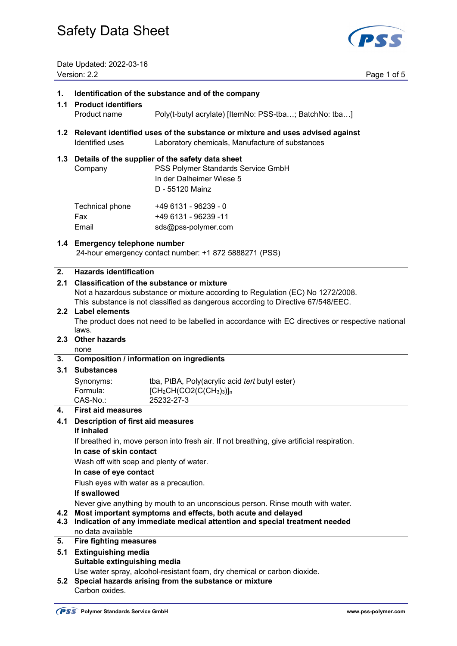

Date Updated: 2022-03-16 Version: 2.2 Page 1 of 5

#### **1. Identification of the substance and of the company**

# **1.1 Product identifiers**  Product name Poly(t-butyl acrylate) [ItemNo: PSS-tba…; BatchNo: tba…]

**1.2 Relevant identified uses of the substance or mixture and uses advised against**  Identified uses Laboratory chemicals, Manufacture of substances

#### **1.3 Details of the supplier of the safety data sheet**

 Company PSS Polymer Standards Service GmbH In der Dalheimer Wiese 5 D - 55120 Mainz Technical phone +49 6131 - 96239 - 0

| <b>I VUITHUAI PHUITU</b> | $-0.001 - 0.0200 - 0.000$ |
|--------------------------|---------------------------|
| Fax                      | +49 6131 - 96239 -11      |
| Email                    | sds@pss-polymer.com       |

#### **1.4 Emergency telephone number**

24-hour emergency contact number: +1 872 5888271 (PSS)

### **2. Hazards identification**

## **2.1 Classification of the substance or mixture**

Not a hazardous substance or mixture according to Regulation (EC) No 1272/2008.

This substance is not classified as dangerous according to Directive 67/548/EEC.

## **2.2 Label elements**

 The product does not need to be labelled in accordance with EC directives or respective national laws.

# **2.3 Other hazards**

none

#### **3. Composition / information on ingredients**

### **3.1 Substances**

| Synonyms: | tba, PtBA, Poly(acrylic acid <i>tert</i> butyl ester) |
|-----------|-------------------------------------------------------|
| Formula:  | $[CH2CH(CO2(CCH3)3)]n$                                |
| CAS-No.:  | 25232-27-3                                            |

### **4. First aid measures**

# **4.1 Description of first aid measures**

### **If inhaled**

If breathed in, move person into fresh air. If not breathing, give artificial respiration.

#### **In case of skin contact**

Wash off with soap and plenty of water.

#### **In case of eye contact**

Flush eyes with water as a precaution.

### **If swallowed**

Never give anything by mouth to an unconscious person. Rinse mouth with water.

# **4.2 Most important symptoms and effects, both acute and delayed**

**4.3 Indication of any immediate medical attention and special treatment needed**  no data available

# **5. Fire fighting measures**

# **5.1 Extinguishing media Suitable extinguishing media**

Use water spray, alcohol-resistant foam, dry chemical or carbon dioxide.

# **5.2 Special hazards arising from the substance or mixture**

Carbon oxides.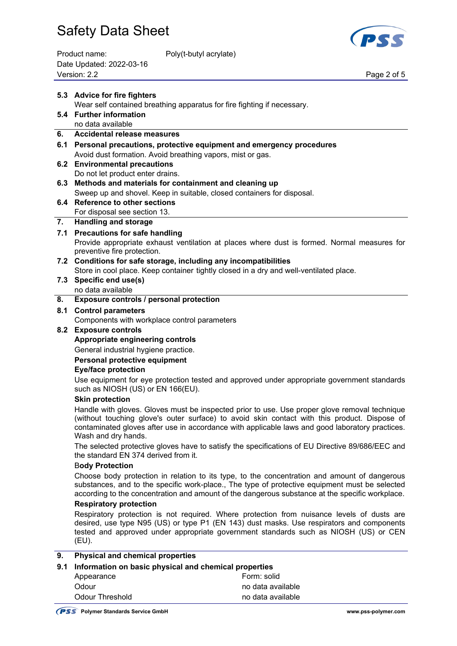| Product name:            | Poly(t-butyl acrylate) |
|--------------------------|------------------------|
| Date Updated: 2022-03-16 |                        |
| Version: 2.2             |                        |



Page 2 of 5

|     | 5.3 Advice for fire fighters<br>Wear self contained breathing apparatus for fire fighting if necessary.                                                                                                                                                                                           |                                                                                                                                                                                                                                                                                                  |
|-----|---------------------------------------------------------------------------------------------------------------------------------------------------------------------------------------------------------------------------------------------------------------------------------------------------|--------------------------------------------------------------------------------------------------------------------------------------------------------------------------------------------------------------------------------------------------------------------------------------------------|
|     | 5.4 Further information                                                                                                                                                                                                                                                                           |                                                                                                                                                                                                                                                                                                  |
|     | no data available                                                                                                                                                                                                                                                                                 |                                                                                                                                                                                                                                                                                                  |
| 6.  | <b>Accidental release measures</b>                                                                                                                                                                                                                                                                |                                                                                                                                                                                                                                                                                                  |
|     | 6.1 Personal precautions, protective equipment and emergency procedures                                                                                                                                                                                                                           |                                                                                                                                                                                                                                                                                                  |
|     | Avoid dust formation. Avoid breathing vapors, mist or gas.                                                                                                                                                                                                                                        |                                                                                                                                                                                                                                                                                                  |
|     | 6.2 Environmental precautions                                                                                                                                                                                                                                                                     |                                                                                                                                                                                                                                                                                                  |
|     | Do not let product enter drains.                                                                                                                                                                                                                                                                  |                                                                                                                                                                                                                                                                                                  |
| 6.3 | Methods and materials for containment and cleaning up                                                                                                                                                                                                                                             |                                                                                                                                                                                                                                                                                                  |
|     | Sweep up and shovel. Keep in suitable, closed containers for disposal.                                                                                                                                                                                                                            |                                                                                                                                                                                                                                                                                                  |
| 6.4 | <b>Reference to other sections</b>                                                                                                                                                                                                                                                                |                                                                                                                                                                                                                                                                                                  |
|     | For disposal see section 13.                                                                                                                                                                                                                                                                      |                                                                                                                                                                                                                                                                                                  |
| 7.  | <b>Handling and storage</b>                                                                                                                                                                                                                                                                       |                                                                                                                                                                                                                                                                                                  |
|     | 7.1 Precautions for safe handling                                                                                                                                                                                                                                                                 |                                                                                                                                                                                                                                                                                                  |
|     | preventive fire protection.                                                                                                                                                                                                                                                                       | Provide appropriate exhaust ventilation at places where dust is formed. Normal measures for                                                                                                                                                                                                      |
|     | 7.2 Conditions for safe storage, including any incompatibilities                                                                                                                                                                                                                                  |                                                                                                                                                                                                                                                                                                  |
|     | Store in cool place. Keep container tightly closed in a dry and well-ventilated place.                                                                                                                                                                                                            |                                                                                                                                                                                                                                                                                                  |
|     | 7.3 Specific end use(s)                                                                                                                                                                                                                                                                           |                                                                                                                                                                                                                                                                                                  |
|     | no data available                                                                                                                                                                                                                                                                                 |                                                                                                                                                                                                                                                                                                  |
| 8.  | Exposure controls / personal protection                                                                                                                                                                                                                                                           |                                                                                                                                                                                                                                                                                                  |
| 8.1 | <b>Control parameters</b>                                                                                                                                                                                                                                                                         |                                                                                                                                                                                                                                                                                                  |
|     | Components with workplace control parameters<br>8.2 Exposure controls                                                                                                                                                                                                                             |                                                                                                                                                                                                                                                                                                  |
|     | Appropriate engineering controls                                                                                                                                                                                                                                                                  |                                                                                                                                                                                                                                                                                                  |
|     |                                                                                                                                                                                                                                                                                                   |                                                                                                                                                                                                                                                                                                  |
|     | General industrial hygiene practice.<br>Personal protective equipment                                                                                                                                                                                                                             |                                                                                                                                                                                                                                                                                                  |
|     | <b>Eye/face protection</b>                                                                                                                                                                                                                                                                        |                                                                                                                                                                                                                                                                                                  |
|     |                                                                                                                                                                                                                                                                                                   | Use equipment for eye protection tested and approved under appropriate government standards                                                                                                                                                                                                      |
|     | such as NIOSH (US) or EN 166(EU).                                                                                                                                                                                                                                                                 |                                                                                                                                                                                                                                                                                                  |
|     | <b>Skin protection</b>                                                                                                                                                                                                                                                                            |                                                                                                                                                                                                                                                                                                  |
|     | Wash and dry hands.                                                                                                                                                                                                                                                                               | Handle with gloves. Gloves must be inspected prior to use. Use proper glove removal technique<br>(without touching glove's outer surface) to avoid skin contact with this product. Dispose of<br>contaminated gloves after use in accordance with applicable laws and good laboratory practices. |
|     | The selected protective gloves have to satisfy the specifications of EU Directive 89/686/EEC and<br>the standard EN 374 derived from it.                                                                                                                                                          |                                                                                                                                                                                                                                                                                                  |
|     | <b>Body Protection</b>                                                                                                                                                                                                                                                                            |                                                                                                                                                                                                                                                                                                  |
|     | Choose body protection in relation to its type, to the concentration and amount of dangerous<br>substances, and to the specific work-place., The type of protective equipment must be selected<br>according to the concentration and amount of the dangerous substance at the specific workplace. |                                                                                                                                                                                                                                                                                                  |
|     | <b>Respiratory protection</b>                                                                                                                                                                                                                                                                     |                                                                                                                                                                                                                                                                                                  |
|     | (EU).                                                                                                                                                                                                                                                                                             | Respiratory protection is not required. Where protection from nuisance levels of dusts are<br>desired, use type N95 (US) or type P1 (EN 143) dust masks. Use respirators and components<br>tested and approved under appropriate government standards such as NIOSH (US) or CEN                  |
| 9.  | <b>Physical and chemical properties</b>                                                                                                                                                                                                                                                           |                                                                                                                                                                                                                                                                                                  |
| 9.1 | Information on basic physical and chemical properties                                                                                                                                                                                                                                             |                                                                                                                                                                                                                                                                                                  |
|     | Appearance                                                                                                                                                                                                                                                                                        | Form: solid                                                                                                                                                                                                                                                                                      |
|     | Odour                                                                                                                                                                                                                                                                                             | no data available                                                                                                                                                                                                                                                                                |
|     | <b>Odour Threshold</b>                                                                                                                                                                                                                                                                            | no data available                                                                                                                                                                                                                                                                                |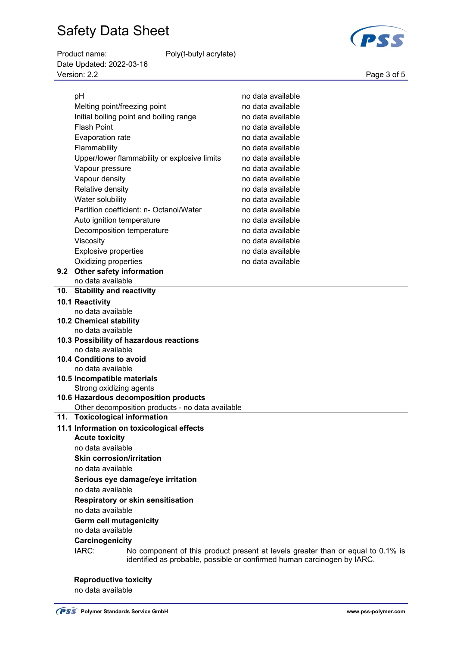Product name: Poly(t-butyl acrylate) Date Updated: 2022-03-16

Page 3 of 5<br>Version: 2.2 Page 3 of 5 pH no data available Melting point/freezing point no data available Initial boiling point and boiling range no data available Flash Point **No. 2. The Contract of the Contract of Transformation** and the **no data available** Evaporation rate no metal available no data available Flammability **no data available** Upper/lower flammability or explosive limits no data available Vapour pressure no data available Vapour density no data available Relative density **Relative density** no data available Water solubility and the matter of the model of the model of the model of the model of the model of the model o Partition coefficient: n- Octanol/Water no data available Auto ignition temperature no data available Decomposition temperature no data available Viscosity **Nitional According Contract Contract Contract Contract Contract Contract Contract Contract Contract Contract Contract Contract Contract Contract Contract Contract Contract Contract Contract Contract Contract Con** Explosive properties no data available Oxidizing properties no data available **9.2 Other safety information**  no data available **10. Stability and reactivity** 

**10.6 Hazardous decomposition products**  Other decomposition products - no data available

**10.3 Possibility of hazardous reactions** 

**10.1 Reactivity** 

 no data available **10.2 Chemical stability**  no data available

 no data available **10.4 Conditions to avoid**  no data available **10.5 Incompatible materials**  Strong oxidizing agents

- **11. Toxicological information**
- **11.1 Information on toxicological effects Acute toxicity**  no data available  **Skin corrosion/irritation** no data available **Serious eye damage/eye irritation** no data available  **Respiratory or skin sensitisation** no data available **Germ cell mutagenicity** no data available

# **Carcinogenicity**

 IARC: No component of this product present at levels greater than or equal to 0.1% is identified as probable, possible or confirmed human carcinogen by IARC.

#### **Reproductive toxicity**

no data available

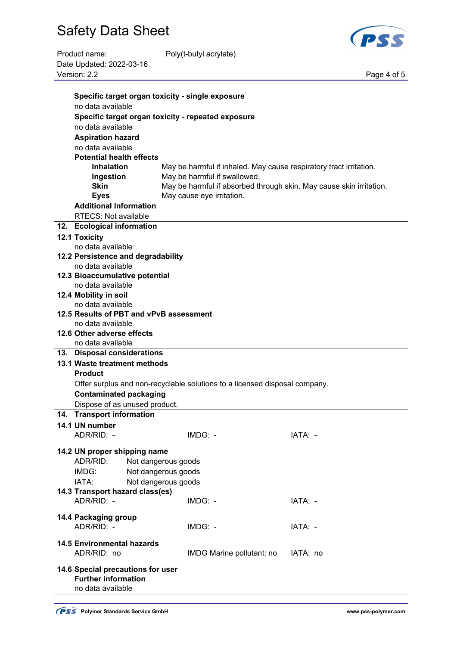

| Product name:            | Poly(t-butyl acrylate) |
|--------------------------|------------------------|
| Date Updated: 2022-03-16 |                        |
| Version: 2.2             |                        |

Page 4 of 5

| Specific target organ toxicity - single exposure |                                                                            |          |
|--------------------------------------------------|----------------------------------------------------------------------------|----------|
| no data available                                |                                                                            |          |
|                                                  | Specific target organ toxicity - repeated exposure                         |          |
| no data available                                |                                                                            |          |
| <b>Aspiration hazard</b>                         |                                                                            |          |
| no data available                                |                                                                            |          |
| <b>Potential health effects</b>                  |                                                                            |          |
| <b>Inhalation</b>                                | May be harmful if inhaled. May cause respiratory tract irritation.         |          |
| Ingestion                                        | May be harmful if swallowed.                                               |          |
| <b>Skin</b>                                      | May be harmful if absorbed through skin. May cause skin irritation.        |          |
| <b>Eyes</b>                                      | May cause eye irritation.                                                  |          |
| <b>Additional Information</b>                    |                                                                            |          |
| <b>RTECS: Not available</b>                      |                                                                            |          |
|                                                  |                                                                            |          |
| 12. Ecological information                       |                                                                            |          |
| <b>12.1 Toxicity</b>                             |                                                                            |          |
| no data available                                |                                                                            |          |
| 12.2 Persistence and degradability               |                                                                            |          |
| no data available                                |                                                                            |          |
| 12.3 Bioaccumulative potential                   |                                                                            |          |
| no data available                                |                                                                            |          |
| 12.4 Mobility in soil                            |                                                                            |          |
| no data available                                |                                                                            |          |
| 12.5 Results of PBT and vPvB assessment          |                                                                            |          |
| no data available                                |                                                                            |          |
| 12.6 Other adverse effects                       |                                                                            |          |
| no data available                                |                                                                            |          |
| 13. Disposal considerations                      |                                                                            |          |
| 13.1 Waste treatment methods                     |                                                                            |          |
| <b>Product</b>                                   |                                                                            |          |
|                                                  | Offer surplus and non-recyclable solutions to a licensed disposal company. |          |
| <b>Contaminated packaging</b>                    |                                                                            |          |
| Dispose of as unused product.                    |                                                                            |          |
| 14. Transport information                        |                                                                            |          |
| 14.1 UN number                                   |                                                                            |          |
| ADR/RID: -                                       | IMDG: -                                                                    | IATA:    |
|                                                  |                                                                            |          |
| 14.2 UN proper shipping name                     |                                                                            |          |
| ADR/RID:                                         | Not dangerous goods                                                        |          |
| IMDG:                                            | Not dangerous goods                                                        |          |
| IATA:                                            | Not dangerous goods                                                        |          |
| 14.3 Transport hazard class(es)                  |                                                                            |          |
| ADR/RID: -                                       | IMDG: -                                                                    | IATA: -  |
|                                                  |                                                                            |          |
| 14.4 Packaging group                             |                                                                            |          |
| ADR/RID: -                                       | IMDG: -                                                                    | IATA: -  |
| <b>14.5 Environmental hazards</b>                |                                                                            |          |
| ADR/RID: no                                      | IMDG Marine pollutant: no                                                  | IATA: no |
|                                                  |                                                                            |          |
| 14.6 Special precautions for user                |                                                                            |          |
| <b>Further information</b>                       |                                                                            |          |
| no data available                                |                                                                            |          |